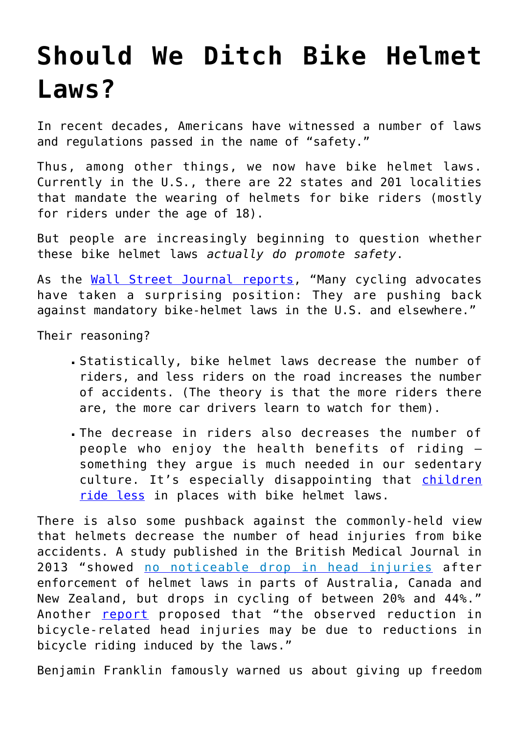## **[Should We Ditch Bike Helmet](https://intellectualtakeout.org/2015/10/should-we-ditch-bike-helmet-laws/) [Laws?](https://intellectualtakeout.org/2015/10/should-we-ditch-bike-helmet-laws/)**

In recent decades, Americans have witnessed a number of laws and regulations passed in the name of "safety."

Thus, among other things, we now have bike helmet laws. Currently in the U.S., there are 22 states and 201 localities that mandate the wearing of helmets for bike riders (mostly for riders under the age of 18).

But people are increasingly beginning to question whether these bike helmet laws *actually do promote safety*.

As the [Wall Street Journal reports](http://www.wsj.com/articles/do-bike-helmet-laws-do-more-harm-than-good-1444662837?mod=e2fb), "Many cycling advocates have taken a surprising position: They are pushing back against mandatory bike-helmet laws in the U.S. and elsewhere."

Their reasoning?

- Statistically, bike helmet laws decrease the number of riders, and less riders on the road increases the number of accidents. (The theory is that the more riders there are, the more car drivers learn to watch for them).
- The decrease in riders also decreases the number of people who enjoy the health benefits of riding – something they argue is much needed in our sedentary culture. It's especially disappointing that [children](http://www.theatlantic.com/health/archive/2013/03/the-bike-helmet-paradox/273555/) [ride less](http://www.theatlantic.com/health/archive/2013/03/the-bike-helmet-paradox/273555/) in places with bike helmet laws.

There is also some pushback against the commonly-held view that helmets decrease the number of head injuries from bike accidents. A study published in the British Medical Journal in 2013 "showed [no noticeable drop in head injuries](http://www.ncbi.nlm.nih.gov/pmc/articles/PMC1410838/) after enforcement of helmet laws in parts of Australia, Canada and New Zealand, but drops in cycling of between 20% and 44%." Another **[report](http://www.nber.org/papers/w18773.pdf?new_window=1)** proposed that "the observed reduction in bicycle-related head injuries may be due to reductions in bicycle riding induced by the laws."

Benjamin Franklin famously warned us about giving up freedom